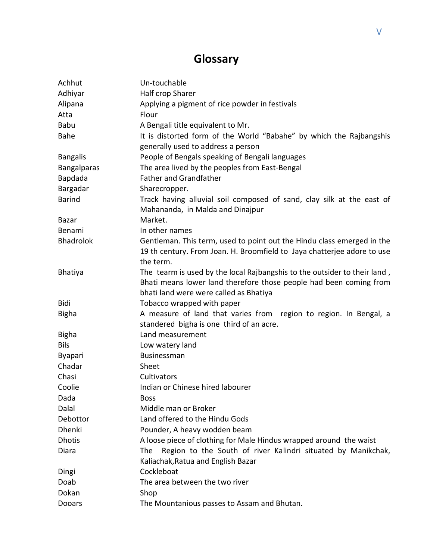## **Glossary**

| Achhut           | Un-touchable                                                              |
|------------------|---------------------------------------------------------------------------|
| Adhiyar          | Half crop Sharer                                                          |
| Alipana          | Applying a pigment of rice powder in festivals                            |
| Atta             | Flour                                                                     |
| <b>Babu</b>      | A Bengali title equivalent to Mr.                                         |
| <b>Bahe</b>      | It is distorted form of the World "Babahe" by which the Rajbangshis       |
|                  | generally used to address a person                                        |
| <b>Bangalis</b>  | People of Bengals speaking of Bengali languages                           |
| Bangalparas      | The area lived by the peoples from East-Bengal                            |
| Bapdada          | <b>Father and Grandfather</b>                                             |
| Bargadar         | Sharecropper.                                                             |
| <b>Barind</b>    | Track having alluvial soil composed of sand, clay silk at the east of     |
|                  | Mahananda, in Malda and Dinajpur                                          |
| Bazar            | Market.                                                                   |
| Benami           | In other names                                                            |
| <b>Bhadrolok</b> | Gentleman. This term, used to point out the Hindu class emerged in the    |
|                  | 19 th century. From Joan. H. Broomfield to Jaya chatterjee adore to use   |
|                  | the term.                                                                 |
| <b>Bhatiya</b>   | The tearm is used by the local Rajbangshis to the outsider to their land, |
|                  | Bhati means lower land therefore those people had been coming from        |
|                  | bhati land were were called as Bhatiya                                    |
| Bidi             | Tobacco wrapped with paper                                                |
| <b>Bigha</b>     | A measure of land that varies from region to region. In Bengal, a         |
|                  | standered bigha is one third of an acre.                                  |
| <b>Bigha</b>     | Land measurement                                                          |
| <b>Bils</b>      | Low watery land                                                           |
| <b>Byapari</b>   | Businessman                                                               |
| Chadar           | Sheet                                                                     |
| Chasi            | Cultivators                                                               |
| Coolie           | Indian or Chinese hired labourer                                          |
| Dada             | <b>Boss</b>                                                               |
| Dalal            | Middle man or Broker                                                      |
| Debottor         | Land offered to the Hindu Gods                                            |
| Dhenki           | Pounder, A heavy wodden beam                                              |
| <b>Dhotis</b>    | A loose piece of clothing for Male Hindus wrapped around the waist        |
| Diara            | Region to the South of river Kalindri situated by Manikchak,<br>The       |
|                  | Kaliachak, Ratua and English Bazar                                        |
| Dingi            | Cockleboat                                                                |
| Doab             | The area between the two river                                            |
| Dokan            | Shop                                                                      |
| Dooars           | The Mountanious passes to Assam and Bhutan.                               |